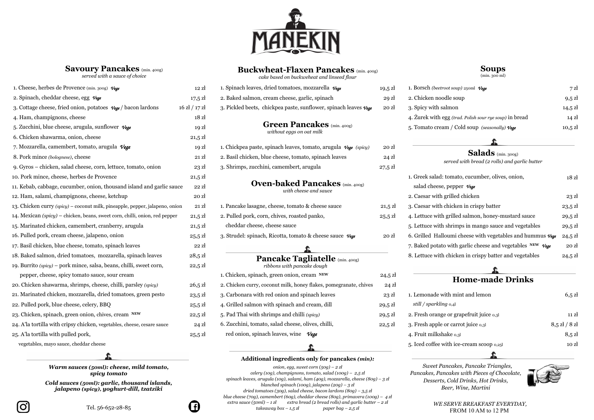

## **Savoury Pancakes** (min. 400g)

*served with a sauce of choice*

# **Buckwheat-Flaxen Pancakes** (min. 400g)

*cake based on buckweheat and linseed flour*

### **Soups** (min. 300 ml)



| 1. Cheese, herbes de Provence (min. 300g) Vege                                | $12$ $\mathrm{z}$ | 1. Spinach leaves, dried tomatoes, mozzarella $\nu_{\text{ege}}$                    | 19,5 zł           |  |  |
|-------------------------------------------------------------------------------|-------------------|-------------------------------------------------------------------------------------|-------------------|--|--|
| 2. Spinach, cheddar cheese, egg $\nu_{\mathbf{g}}$                            | $17,5 \mathrm{Z}$ | 2. Baked salmon, cream cheese, garlic, spinach                                      | 29 zł             |  |  |
| 3. Cottage cheese, fried onion, potatoes $\mathcal{V}_{ege}$ / bacon lardons  | $16$ zł $/17$ zł  | 3. Pickled beets, chickpea paste, sunflower, spinach leaves Vege                    | 20 <sub>zł</sub>  |  |  |
| 4. Ham, champignons, cheese                                                   | 18z               |                                                                                     |                   |  |  |
| 5. Zucchini, blue cheese, arugula, sunflower $\mathcal{V}_{e,q}$              | 19 <sub>z</sub>   | <b>Green Pancakes</b> (min. 400g)                                                   |                   |  |  |
| 6. Chicken shawarma, onion, cheese                                            | $21,5 \mathrm{Z}$ | without eggs on oat milk                                                            |                   |  |  |
| 7. Mozzarella, camembert, tomato, arugula Vege                                | 19 <sub>z</sub>   | 1. Chickpea paste, spinach leaves, tomato, arugula $\mathcal{V}_{\text{E}}$ (spicy) | 20 z <sub>k</sub> |  |  |
| 8. Pork mince (bolognese), cheese                                             | 21 z <sub>k</sub> | 2. Basil chicken, blue cheese, tomato, spinach leaves                               | $24$ zł           |  |  |
| 9. Gyros - chicken, salad cheese, corn, lettuce, tomato, onion                | $23$ $\rm{z}$     | 3. Shrimps, zucchini, camembert, arugula                                            | $27.5$ zł         |  |  |
| 10. Pork mince, cheese, herbes de Provence                                    | $21,5 \mathrm{Z}$ |                                                                                     |                   |  |  |
| 11. Kebab, cabbage, cucumber, onion, thousand island and garlic sauce         | $22$ $\rm{Z}$     | <b>Oven-baked Pancakes</b> (min. 400g)<br>with cheese and sauce                     |                   |  |  |
| 12. Ham, salami, champignons, cheese, ketchup                                 | 20 z <sub>i</sub> |                                                                                     |                   |  |  |
| 13. Chicken curry (spicy) – coconut milk, pineapple, pepper, jalapeno, onion  | 21 z <sub>i</sub> | 1. Pancake lasagne, cheese, tomato & cheese sauce                                   | $21,5$ zł         |  |  |
| 14. Mexican $(spiey)$ – chicken, beans, sweet corn, chilli, onion, red pepper | $21,5 \mathrm{Z}$ | 2. Pulled pork, corn, chives, roasted panko,                                        | $25,5 \mathrm{Z}$ |  |  |
| 15. Marinated chicken, camembert, cranberry, arugula                          | $21,5 \mathrm{Z}$ | cheddar cheese, cheese sauce                                                        |                   |  |  |
| 16. Pulled pork, cream cheese, jalapeno, onion                                | $25.5$ zł         | 3. Strudel: spinach, Ricotta, tomato & cheese sauce Vege                            | 20 z <sub>i</sub> |  |  |
| 17. Basil chicken, blue cheese, tomato, spinach leaves                        | $22$ $\mathrm{z}$ |                                                                                     |                   |  |  |
| 18. Baked salmon, dried tomatoes, mozzarella, spinach leaves                  | $28,5 \mathrm{Z}$ | Pancake Tagliatelle (min. 400g)                                                     |                   |  |  |
| 19. Burrito (spicy) – pork mince, salsa, beans, chilli, sweet corn,           | $22,5 \mathrm{Z}$ | ribbons with pancake dough                                                          |                   |  |  |
| pepper, cheese, spicy tomato sauce, sour cream                                |                   | 1. Chicken, spinach, green onion, cream NEW                                         | $24,5 \mathrm{Z}$ |  |  |
| 20. Chicken shawarma, shrimps, cheese, chilli, parsley (spicy)                | $26,5 \mathrm{Z}$ | 2. Chicken curry, coconut milk, honey flakes, pomegranate, chives                   | $24$ zł           |  |  |
| 21. Marinated chicken, mozzarella, dried tomatoes, green pesto                | $23,5 \mathrm{Z}$ | 3. Carbonara with red onion and spinach leaves                                      | $23$ zł           |  |  |
| 22. Pulled pork, blue cheese, celery, BBQ                                     | $25.5$ zł         | 4. Grilled salmon with spinach and cream, dill                                      | $29,5 \mathrm{Z}$ |  |  |
| 23. Chicken, spinach, green onion, chives, cream NEW                          | $22,5 \mathrm{Z}$ | 5. Pad Thai with shrimps and chilli (spicy)                                         | $29,5 \mathrm{Z}$ |  |  |
| 24. A'la tortilla with cripsy chicken, vegetables, cheese, cesare sauce       | $24$ zł           | 6. Zucchini, tomato, salad cheese, olives, chilli,                                  | $22,5 \mathrm{Z}$ |  |  |
| 25. A'la tortilla with pulled pork,                                           | $25.5$ zł         | red onion, spinach leaves, wine $Vege$                                              |                   |  |  |

| 1. Cheese, herbes de Provence (min. 300g) Vege                                                          | 12 zł             | 1. Spinach leaves, dried tomatoes, mozzarella Vege                                    | $19,5 \mathrm{Z}$ | 1. Borsch (beetroot soup) 250ml Vege                                     | 7z                                                         |  |
|---------------------------------------------------------------------------------------------------------|-------------------|---------------------------------------------------------------------------------------|-------------------|--------------------------------------------------------------------------|------------------------------------------------------------|--|
| 2. Spinach, cheddar cheese, egg $\nu_{\mathbf{g}}$                                                      | $17,5 \mathrm{Z}$ | 2. Baked salmon, cream cheese, garlic, spinach                                        | 29z               | 2. Chicken noodle soup                                                   | $9,5$ zł                                                   |  |
| 3. Cottage cheese, fried onion, potatoes $\mathcal{V}_{\text{ege}}$ / bacon lardons<br>$16$ zł $/17$ zł |                   | 3. Pickled beets, chickpea paste, sunflower, spinach leaves $\nu_{\text{cge}}$        | 20 z <sub>i</sub> | 3. Spicy with salmon                                                     | $14,5 \mathrm{Z}$                                          |  |
| 4. Ham, champignons, cheese                                                                             | 18z               |                                                                                       |                   | 4. Żurek with egg (trad. Polish sour rye soup) in bread                  | $14 \mathrm{Z}$                                            |  |
| 5. Zucchini, blue cheese, arugula, sunflower $\nu$ ege                                                  | 19 zł             | <b>Green Pancakes</b> (min. 400g)                                                     |                   | 5. Tomato cream / Cold soup (seasonally) $V_{gg}$                        | $10,5 \mathrm{Z}$                                          |  |
| 6. Chicken shawarma, onion, cheese                                                                      | $21,5 \mathrm{Z}$ | without eggs on oat milk                                                              |                   |                                                                          |                                                            |  |
| 7. Mozzarella, camembert, tomato, arugula Vege                                                          | 19 zł             | 1. Chickpea paste, spinach leaves, tomato, arugula $\mathcal{V}_{\text{ege}}$ (spicy) | 20z               |                                                                          |                                                            |  |
| 8. Pork mince (bolognese), cheese<br>21 zł                                                              |                   | 2. Basil chicken, blue cheese, tomato, spinach leaves                                 |                   | <b>Salads</b> (min. 300g)                                                |                                                            |  |
| 9. Gyros – chicken, salad cheese, corn, lettuce, tomato, onion                                          | $23$ zł           | 3. Shrimps, zucchini, camembert, arugula<br>$27.5$ zł                                 |                   | served with bread (2 rolls) and garlic butter                            |                                                            |  |
| 10. Pork mince, cheese, herbes de Provence                                                              | $21,5 \mathrm{Z}$ |                                                                                       |                   | 1. Greek salad: tomato, cucumber, olives, onion,                         | 18z                                                        |  |
| 11. Kebab, cabbage, cucumber, onion, thousand island and garlic sauce                                   | 22 z <sub>k</sub> | <b>Oven-baked Pancakes</b> (min. 400g)                                                |                   | salad cheese, pepper $\nu_{ege}$                                         |                                                            |  |
| 12. Ham, salami, champignons, cheese, ketchup                                                           | 20 z <sub>i</sub> | with cheese and sauce                                                                 |                   | 2. Caesar with grilled chicken                                           | 23z                                                        |  |
| 13. Chicken curry (spicy) - coconut milk, pineapple, pepper, jalapeno, onion                            | 21 zł             | 1. Pancake lasagne, cheese, tomato & cheese sauce                                     | $21,5 \mathrm{Z}$ | 3. Caesar with chicken in crispy batter                                  | $23,5 \mathrm{Z}$                                          |  |
| 14. Mexican (spicy) – chicken, beans, sweet corn, chilli, onion, red pepper                             | $21,5 \mathrm{Z}$ | 2. Pulled pork, corn, chives, roasted panko,                                          | $25,5 \mathrm{Z}$ | 4. Lettuce with grilled salmon, honey-mustard sauce                      | $29,5 \mathrm{Z}$                                          |  |
| 15. Marinated chicken, camembert, cranberry, arugula                                                    | $21,5 \mathrm{Z}$ | cheddar cheese, cheese sauce                                                          |                   | 5. Lettuce with shrimps in mango sauce and vegetables                    | $29,5 \mathrm{Z}$                                          |  |
| 16. Pulled pork, cream cheese, jalapeno, onion                                                          | $25.5$ zł         |                                                                                       | 20 z <sub>k</sub> | 6. Grilled Halloumi cheese with vegetables and hummus $v_{\text{ege}}$   | $24,5 \mathrm{Z}$                                          |  |
| 17. Basil chicken, blue cheese, tomato, spinach leaves                                                  | $22$ $\rm{Z}$     |                                                                                       |                   | 7. Baked potato with garlic cheese and vegetables $NEW$ $V_{\text{ege}}$ | 20z                                                        |  |
| 18. Baked salmon, dried tomatoes, mozzarella, spinach leaves                                            | $28,5 \mathrm{Z}$ | Pancake Tagliatelle (min. 400g)                                                       |                   | 8. Lettuce with chicken in crispy batter and vegetables                  | $24,5 \mathrm{Z}$                                          |  |
| 19. Burrito (spicy) – pork mince, salsa, beans, chilli, sweet corn,                                     | $22,5 \mathrm{Z}$ | ribbons with pancake dough                                                            |                   |                                                                          |                                                            |  |
| pepper, cheese, spicy tomato sauce, sour cream                                                          |                   | 1. Chicken, spinach, green onion, cream NEW                                           | $24,5 \mathrm{Z}$ |                                                                          |                                                            |  |
| 20. Chicken shawarma, shrimps, cheese, chilli, parsley (spicy)                                          | $26,5 \mathrm{Z}$ | 2. Chicken curry, coconut milk, honey flakes, pomegranate, chives                     | $24$ zł           | <b>Home-made Drinks</b>                                                  |                                                            |  |
| 21. Marinated chicken, mozzarella, dried tomatoes, green pesto                                          | $23,5 \mathrm{Z}$ | 3. Carbonara with red onion and spinach leaves                                        | $23$ zł           | 1. Lemonade with mint and lemon                                          | $6,5$ zł                                                   |  |
| 22. Pulled pork, blue cheese, celery, BBQ                                                               | $25.5$ zł         | 4. Grilled salmon with spinach and cream, dill                                        | $29.5$ zł         | still / sparkling 0,41                                                   |                                                            |  |
| 23. Chicken, spinach, green onion, chives, cream NEW                                                    | $22,5 \mathrm{Z}$ | 5. Pad Thai with shrimps and chilli (spicy)                                           | $29.5$ zł         | 2. Fresh orange or grapefruit juice 0,31                                 | 11 zł                                                      |  |
| 24. A'la tortilla with cripsy chicken, vegetables, cheese, cesare sauce                                 | $24$ zł           | 6. Zucchini, tomato, salad cheese, olives, chilli,                                    | $22,5 \mathrm{Z}$ | 3. Fresh apple or carrot juice 0,31                                      | $8,5\ \mathrm{z} \mathrm{l} \,/\,8\ \mathrm{z} \mathrm{l}$ |  |
| 25. A'la tortilla with pulled pork,                                                                     | $25,5 \mathrm{Z}$ | red onion, spinach leaves, wine $\mathcal{V}$ ege                                     |                   | 4. Fruit milkshake 0,31                                                  | $8,5 \mathrm{~zl}$                                         |  |
| vegetables, mayo sauce, cheddar cheese                                                                  |                   |                                                                                       |                   | 5. Iced coffee with ice-cream scoop 0,25l                                | 10 zł                                                      |  |
|                                                                                                         |                   |                                                                                       |                   |                                                                          |                                                            |  |

O

## **Additional ingredients only for pancakes** *(min):*

*onion, egg, sweet corn (50g) – 2 zł celery (10g), champignons, tomato, salad (100g) – 2,5 zł spinach leaves, arugula (10g), salami, ham (40g), mozzarella, cheese (80g) – 3 zł blanched spinach (100g), jalapeno (20g) – 3 zł dried tomatoes (30g), salad cheese, bacon lardons (80g) – 3,5 zł blue cheese (70g), camembert (60g), cheddar cheese (80g), primavera (100g) – 4 zł extra sauce (50ml) – 1 zł extra bread (2 bread rolls) and garlic butter – 2 zł takeaway box – 1,5 zł paper bag – 2,5 zł*

- 
- 

*Warm sauces (50ml): cheese, mild tomato, spicy tomato*

*Cold sauces (50ml): garlic, thousand islands, jalapeno (spicy), yoghurt-dill, tzatziki*

Œ

 *Sweet Pancakes, Pancake Triangles, Pancakes, Pancakes with Pieces of Chocolate, Desserts, Cold Drinks, Hot Drinks, Beer, Wine, Martini*

> *WE SERVE BREAKFAST EVERYDAY,* FROM 10 AM to 12 PM